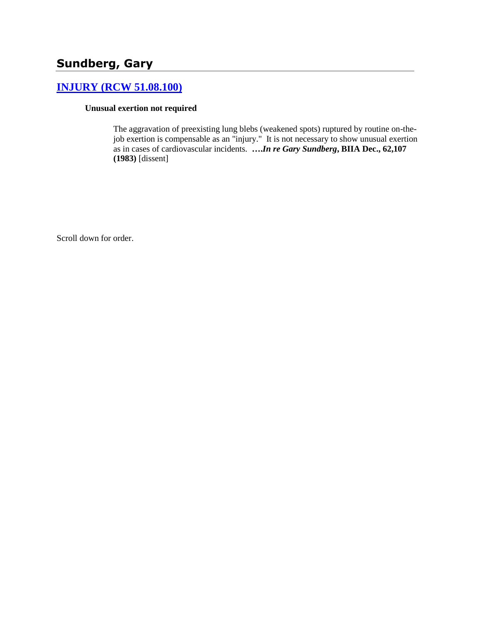# **Sundberg, Gary**

# **[INJURY \(RCW 51.08.100\)](http://www.biia.wa.gov/SDSubjectIndex.html#INJURY)**

#### **Unusual exertion not required**

The aggravation of preexisting lung blebs (weakened spots) ruptured by routine on-thejob exertion is compensable as an "injury." It is not necessary to show unusual exertion as in cases of cardiovascular incidents. **….***In re Gary Sundberg***, BIIA Dec., 62,107 (1983)** [dissent]

Scroll down for order.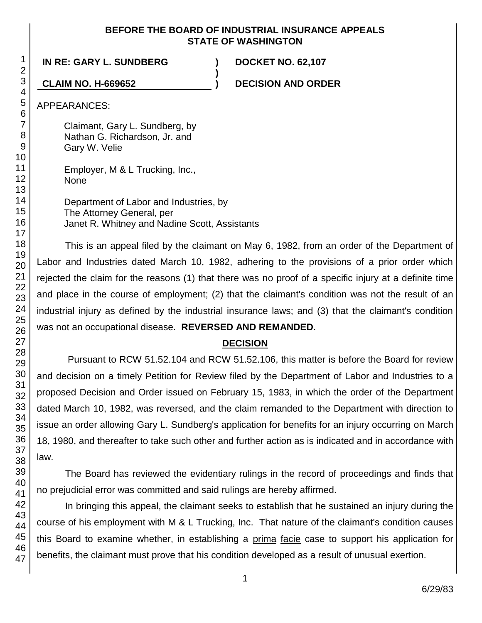#### **BEFORE THE BOARD OF INDUSTRIAL INSURANCE APPEALS STATE OF WASHINGTON**

**)**

### **IN RE: GARY L. SUNDBERG ) DOCKET NO. 62,107**

**CLAIM NO. H-669652 ) DECISION AND ORDER**

APPEARANCES:

Claimant, Gary L. Sundberg, by Nathan G. Richardson, Jr. and Gary W. Velie

Employer, M & L Trucking, Inc., None

Department of Labor and Industries, by The Attorney General, per Janet R. Whitney and Nadine Scott, Assistants

This is an appeal filed by the claimant on May 6, 1982, from an order of the Department of Labor and Industries dated March 10, 1982, adhering to the provisions of a prior order which rejected the claim for the reasons (1) that there was no proof of a specific injury at a definite time and place in the course of employment; (2) that the claimant's condition was not the result of an industrial injury as defined by the industrial insurance laws; and (3) that the claimant's condition was not an occupational disease. **REVERSED AND REMANDED**.

### **DECISION**

Pursuant to RCW 51.52.104 and RCW 51.52.106, this matter is before the Board for review and decision on a timely Petition for Review filed by the Department of Labor and Industries to a proposed Decision and Order issued on February 15, 1983, in which the order of the Department dated March 10, 1982, was reversed, and the claim remanded to the Department with direction to issue an order allowing Gary L. Sundberg's application for benefits for an injury occurring on March 18, 1980, and thereafter to take such other and further action as is indicated and in accordance with law.

The Board has reviewed the evidentiary rulings in the record of proceedings and finds that no prejudicial error was committed and said rulings are hereby affirmed.

In bringing this appeal, the claimant seeks to establish that he sustained an injury during the course of his employment with M & L Trucking, Inc. That nature of the claimant's condition causes this Board to examine whether, in establishing a prima facie case to support his application for benefits, the claimant must prove that his condition developed as a result of unusual exertion.

1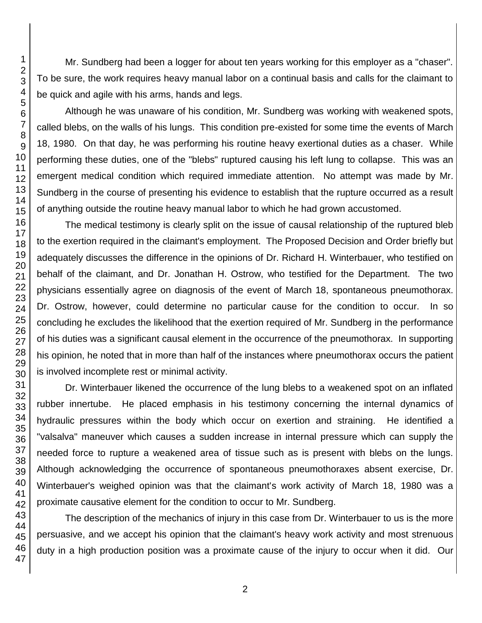Mr. Sundberg had been a logger for about ten years working for this employer as a "chaser". To be sure, the work requires heavy manual labor on a continual basis and calls for the claimant to be quick and agile with his arms, hands and legs.

Although he was unaware of his condition, Mr. Sundberg was working with weakened spots, called blebs, on the walls of his lungs. This condition pre-existed for some time the events of March 18, 1980. On that day, he was performing his routine heavy exertional duties as a chaser. While performing these duties, one of the "blebs" ruptured causing his left lung to collapse. This was an emergent medical condition which required immediate attention. No attempt was made by Mr. Sundberg in the course of presenting his evidence to establish that the rupture occurred as a result of anything outside the routine heavy manual labor to which he had grown accustomed.

The medical testimony is clearly split on the issue of causal relationship of the ruptured bleb to the exertion required in the claimant's employment. The Proposed Decision and Order briefly but adequately discusses the difference in the opinions of Dr. Richard H. Winterbauer, who testified on behalf of the claimant, and Dr. Jonathan H. Ostrow, who testified for the Department. The two physicians essentially agree on diagnosis of the event of March 18, spontaneous pneumothorax. Dr. Ostrow, however, could determine no particular cause for the condition to occur. In so concluding he excludes the likelihood that the exertion required of Mr. Sundberg in the performance of his duties was a significant causal element in the occurrence of the pneumothorax. In supporting his opinion, he noted that in more than half of the instances where pneumothorax occurs the patient is involved incomplete rest or minimal activity.

Dr. Winterbauer likened the occurrence of the lung blebs to a weakened spot on an inflated rubber innertube. He placed emphasis in his testimony concerning the internal dynamics of hydraulic pressures within the body which occur on exertion and straining. He identified a "valsalva" maneuver which causes a sudden increase in internal pressure which can supply the needed force to rupture a weakened area of tissue such as is present with blebs on the lungs. Although acknowledging the occurrence of spontaneous pneumothoraxes absent exercise, Dr. Winterbauer's weighed opinion was that the claimant's work activity of March 18, 1980 was a proximate causative element for the condition to occur to Mr. Sundberg.

The description of the mechanics of injury in this case from Dr. Winterbauer to us is the more persuasive, and we accept his opinion that the claimant's heavy work activity and most strenuous duty in a high production position was a proximate cause of the injury to occur when it did. Our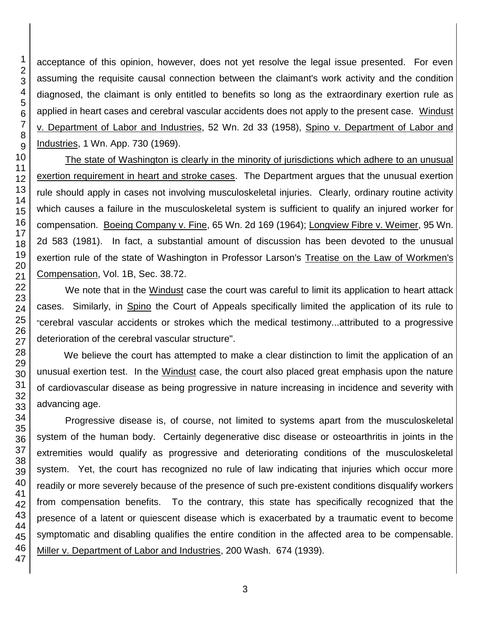acceptance of this opinion, however, does not yet resolve the legal issue presented. For even assuming the requisite causal connection between the claimant's work activity and the condition diagnosed, the claimant is only entitled to benefits so long as the extraordinary exertion rule as applied in heart cases and cerebral vascular accidents does not apply to the present case. Windust v. Department of Labor and Industries, 52 Wn. 2d 33 (1958), Spino v. Department of Labor and Industries, 1 Wn. App. 730 (1969).

The state of Washington is clearly in the minority of jurisdictions which adhere to an unusual exertion requirement in heart and stroke cases. The Department argues that the unusual exertion rule should apply in cases not involving musculoskeletal injuries. Clearly, ordinary routine activity which causes a failure in the musculoskeletal system is sufficient to qualify an injured worker for compensation. Boeing Company v. Fine, 65 Wn. 2d 169 (1964); Longview Fibre v. Weimer, 95 Wn. 2d 583 (1981). In fact, a substantial amount of discussion has been devoted to the unusual exertion rule of the state of Washington in Professor Larson's Treatise on the Law of Workmen's Compensation, Vol. 1B, Sec. 38.72.

We note that in the Windust case the court was careful to limit its application to heart attack cases. Similarly, in Spino the Court of Appeals specifically limited the application of its rule to "cerebral vascular accidents or strokes which the medical testimony...attributed to a progressive deterioration of the cerebral vascular structure".

We believe the court has attempted to make a clear distinction to limit the application of an unusual exertion test. In the Windust case, the court also placed great emphasis upon the nature of cardiovascular disease as being progressive in nature increasing in incidence and severity with advancing age.

Progressive disease is, of course, not limited to systems apart from the musculoskeletal system of the human body. Certainly degenerative disc disease or osteoarthritis in joints in the extremities would qualify as progressive and deteriorating conditions of the musculoskeletal system. Yet, the court has recognized no rule of law indicating that injuries which occur more readily or more severely because of the presence of such pre-existent conditions disqualify workers from compensation benefits. To the contrary, this state has specifically recognized that the presence of a latent or quiescent disease which is exacerbated by a traumatic event to become symptomatic and disabling qualifies the entire condition in the affected area to be compensable. Miller v. Department of Labor and Industries, 200 Wash. 674 (1939).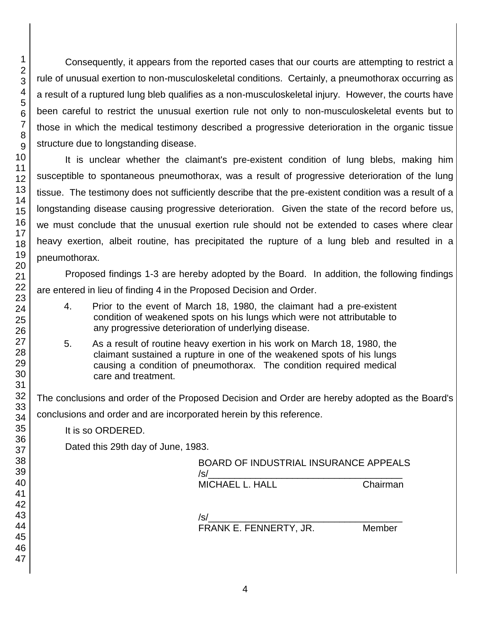Consequently, it appears from the reported cases that our courts are attempting to restrict a rule of unusual exertion to non-musculoskeletal conditions. Certainly, a pneumothorax occurring as a result of a ruptured lung bleb qualifies as a non-musculoskeletal injury. However, the courts have been careful to restrict the unusual exertion rule not only to non-musculoskeletal events but to those in which the medical testimony described a progressive deterioration in the organic tissue structure due to longstanding disease.

It is unclear whether the claimant's pre-existent condition of lung blebs, making him susceptible to spontaneous pneumothorax, was a result of progressive deterioration of the lung tissue. The testimony does not sufficiently describe that the pre-existent condition was a result of a longstanding disease causing progressive deterioration. Given the state of the record before us, we must conclude that the unusual exertion rule should not be extended to cases where clear heavy exertion, albeit routine, has precipitated the rupture of a lung bleb and resulted in a pneumothorax.

Proposed findings 1-3 are hereby adopted by the Board. In addition, the following findings are entered in lieu of finding 4 in the Proposed Decision and Order.

- 4. Prior to the event of March 18, 1980, the claimant had a pre-existent condition of weakened spots on his lungs which were not attributable to any progressive deterioration of underlying disease.
- 5. As a result of routine heavy exertion in his work on March 18, 1980, the claimant sustained a rupture in one of the weakened spots of his lungs causing a condition of pneumothorax. The condition required medical care and treatment.

The conclusions and order of the Proposed Decision and Order are hereby adopted as the Board's

conclusions and order and are incorporated herein by this reference.

It is so ORDERED.

Dated this 29th day of June, 1983.

| <b>BOARD OF INDUSTRIAL INSURANCE APPEALS</b><br>/s/ |          |
|-----------------------------------------------------|----------|
| MICHAEL L. HALL                                     | Chairman |
| $\sqrt{s}$                                          |          |

FRANK E. FENNERTY, JR. Member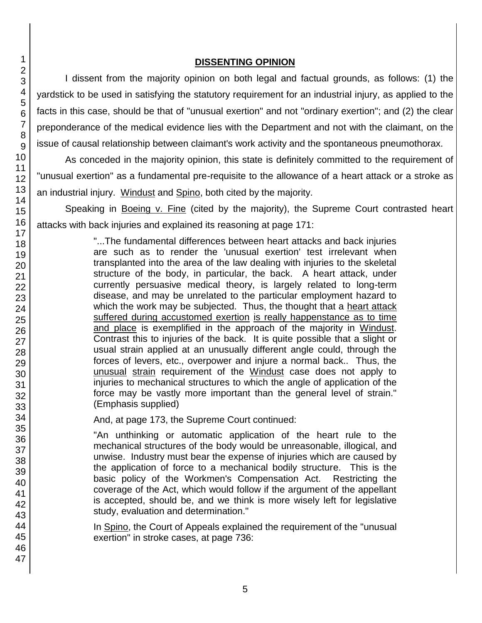### **DISSENTING OPINION**

I dissent from the majority opinion on both legal and factual grounds, as follows: (1) the yardstick to be used in satisfying the statutory requirement for an industrial injury, as applied to the facts in this case, should be that of "unusual exertion" and not "ordinary exertion"; and (2) the clear preponderance of the medical evidence lies with the Department and not with the claimant, on the issue of causal relationship between claimant's work activity and the spontaneous pneumothorax.

As conceded in the majority opinion, this state is definitely committed to the requirement of "unusual exertion" as a fundamental pre-requisite to the allowance of a heart attack or a stroke as an industrial injury. Windust and Spino, both cited by the majority.

Speaking in Boeing v. Fine (cited by the majority), the Supreme Court contrasted heart attacks with back injuries and explained its reasoning at page 171:

> "...The fundamental differences between heart attacks and back injuries are such as to render the 'unusual exertion' test irrelevant when transplanted into the area of the law dealing with injuries to the skeletal structure of the body, in particular, the back. A heart attack, under currently persuasive medical theory, is largely related to long-term disease, and may be unrelated to the particular employment hazard to which the work may be subjected. Thus, the thought that a heart attack suffered during accustomed exertion is really happenstance as to time and place is exemplified in the approach of the majority in Windust. Contrast this to injuries of the back. It is quite possible that a slight or usual strain applied at an unusually different angle could, through the forces of levers, etc., overpower and injure a normal back.. Thus, the unusual strain requirement of the Windust case does not apply to injuries to mechanical structures to which the angle of application of the force may be vastly more important than the general level of strain." (Emphasis supplied)

And, at page 173, the Supreme Court continued:

"An unthinking or automatic application of the heart rule to the mechanical structures of the body would be unreasonable, illogical, and unwise. Industry must bear the expense of injuries which are caused by the application of force to a mechanical bodily structure. This is the basic policy of the Workmen's Compensation Act. Restricting the coverage of the Act, which would follow if the argument of the appellant is accepted, should be, and we think is more wisely left for legislative study, evaluation and determination."

In Spino, the Court of Appeals explained the requirement of the "unusual exertion" in stroke cases, at page 736: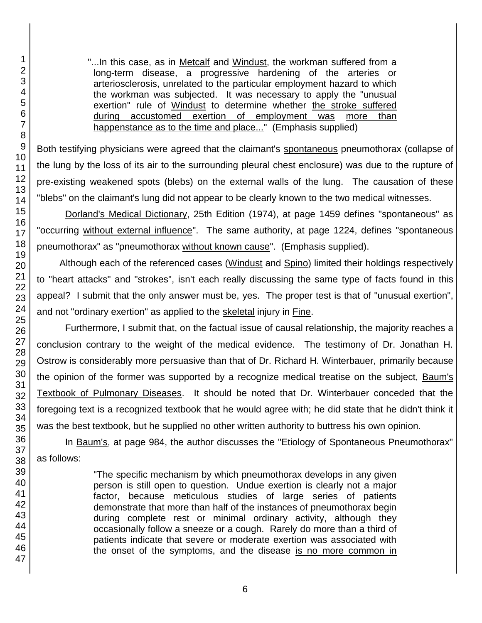"...In this case, as in Metcalf and Windust, the workman suffered from a long-term disease, a progressive hardening of the arteries or arteriosclerosis, unrelated to the particular employment hazard to which the workman was subjected. It was necessary to apply the "unusual exertion" rule of Windust to determine whether the stroke suffered during accustomed exertion of employment was more than happenstance as to the time and place..." (Emphasis supplied)

Both testifying physicians were agreed that the claimant's spontaneous pneumothorax (collapse of the lung by the loss of its air to the surrounding pleural chest enclosure) was due to the rupture of pre-existing weakened spots (blebs) on the external walls of the lung. The causation of these "blebs" on the claimant's lung did not appear to be clearly known to the two medical witnesses.

Dorland's Medical Dictionary, 25th Edition (1974), at page 1459 defines "spontaneous" as "occurring without external influence". The same authority, at page 1224, defines "spontaneous pneumothorax" as "pneumothorax without known cause". (Emphasis supplied).

Although each of the referenced cases (Windust and Spino) limited their holdings respectively to "heart attacks" and "strokes", isn't each really discussing the same type of facts found in this appeal? I submit that the only answer must be, yes. The proper test is that of "unusual exertion", and not "ordinary exertion" as applied to the skeletal injury in Fine.

Furthermore, I submit that, on the factual issue of causal relationship, the majority reaches a conclusion contrary to the weight of the medical evidence. The testimony of Dr. Jonathan H. Ostrow is considerably more persuasive than that of Dr. Richard H. Winterbauer, primarily because the opinion of the former was supported by a recognize medical treatise on the subject, Baum's Textbook of Pulmonary Diseases. It should be noted that Dr. Winterbauer conceded that the foregoing text is a recognized textbook that he would agree with; he did state that he didn't think it was the best textbook, but he supplied no other written authority to buttress his own opinion.

In Baum's, at page 984, the author discusses the "Etiology of Spontaneous Pneumothorax" as follows:

> "The specific mechanism by which pneumothorax develops in any given person is still open to question. Undue exertion is clearly not a major factor, because meticulous studies of large series of patients demonstrate that more than half of the instances of pneumothorax begin during complete rest or minimal ordinary activity, although they occasionally follow a sneeze or a cough. Rarely do more than a third of patients indicate that severe or moderate exertion was associated with the onset of the symptoms, and the disease is no more common in